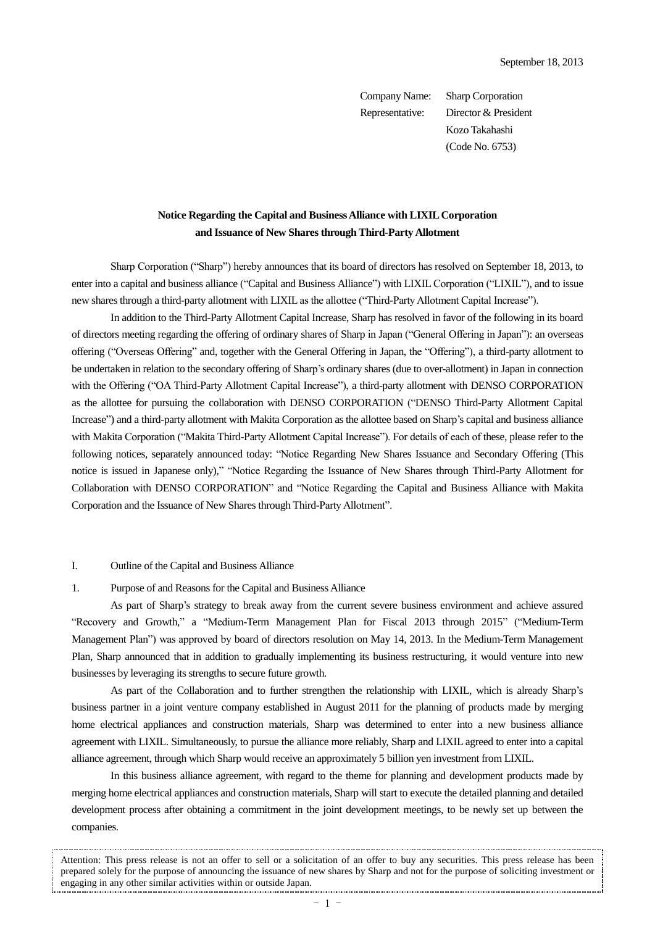Company Name: Sharp Corporation Representative: Director & President Kozo Takahashi (Code No. 6753)

# **Notice Regarding the Capital and Business Alliance with LIXIL Corporation and Issuance of New Shares through Third-Party Allotment**

Sharp Corporation ("Sharp") hereby announces that its board of directors has resolved on September 18, 2013, to enter into a capital and business alliance ("Capital and Business Alliance") with LIXIL Corporation ("LIXIL"), and to issue new shares through a third-party allotment with LIXIL as the allottee ("Third-Party Allotment Capital Increase").

In addition to the Third-Party Allotment Capital Increase, Sharp has resolved in favor of the following in its board of directors meeting regarding the offering of ordinary shares of Sharp in Japan ("General Offering in Japan"): an overseas offering ("Overseas Offering" and, together with the General Offering in Japan, the "Offering"), a third-party allotment to be undertaken in relation to the secondary offering of Sharp's ordinary shares (due to over-allotment) in Japan in connection with the Offering ("OA Third-Party Allotment Capital Increase"), a third-party allotment with DENSO CORPORATION as the allottee for pursuing the collaboration with DENSO CORPORATION ("DENSO Third-Party Allotment Capital Increase") and a third-party allotment with Makita Corporation as the allottee based on Sharp's capital and business alliance with Makita Corporation ("Makita Third-Party Allotment Capital Increase"). For details of each of these, please refer to the following notices, separately announced today: "Notice Regarding New Shares Issuance and Secondary Offering (This notice is issued in Japanese only)," "Notice Regarding the Issuance of New Shares through Third-Party Allotment for Collaboration with DENSO CORPORATION" and "Notice Regarding the Capital and Business Alliance with Makita Corporation and the Issuance of New Shares through Third-Party Allotment".

#### I. Outline of the Capital and Business Alliance

#### 1. Purpose of and Reasons for the Capital and Business Alliance

As part of Sharp's strategy to break away from the current severe business environment and achieve assured "Recovery and Growth," a "Medium-Term Management Plan for Fiscal 2013 through 2015" ("Medium-Term Management Plan") was approved by board of directors resolution on May 14, 2013. In the Medium-Term Management Plan, Sharp announced that in addition to gradually implementing its business restructuring, it would venture into new businesses by leveraging its strengths to secure future growth.

As part of the Collaboration and to further strengthen the relationship with LIXIL, which is already Sharp's business partner in a joint venture company established in August 2011 for the planning of products made by merging home electrical appliances and construction materials, Sharp was determined to enter into a new business alliance agreement with LIXIL. Simultaneously, to pursue the alliance more reliably, Sharp and LIXIL agreed to enter into a capital alliance agreement, through which Sharp would receive an approximately 5 billion yen investment from LIXIL.

In this business alliance agreement, with regard to the theme for planning and development products made by merging home electrical appliances and construction materials, Sharp will start to execute the detailed planning and detailed development process after obtaining a commitment in the joint development meetings, to be newly set up between the companies.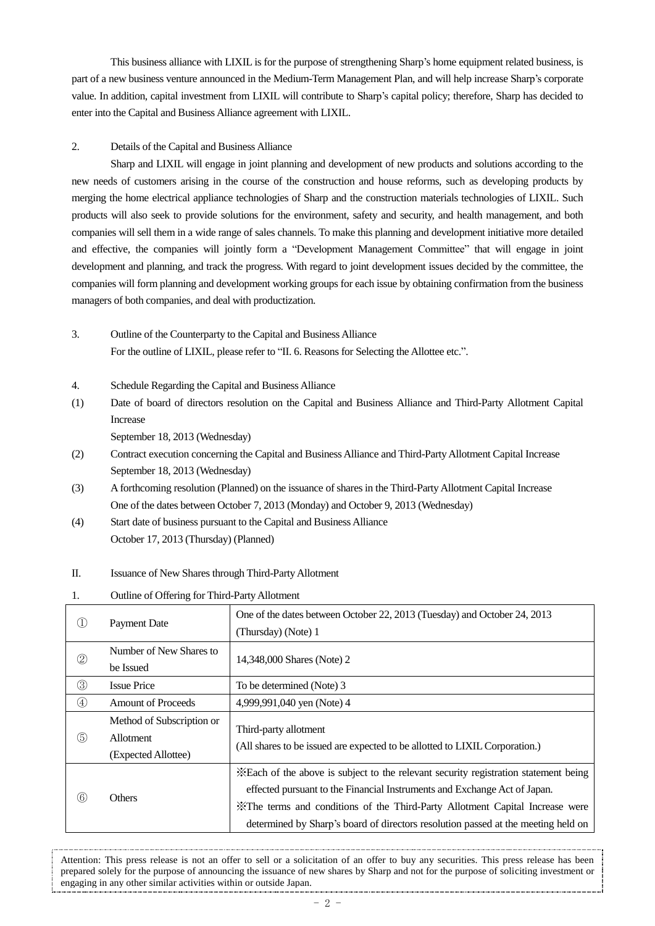This business alliance with LIXIL is for the purpose of strengthening Sharp's home equipment related business, is part of a new business venture announced in the Medium-Term Management Plan, and will help increase Sharp's corporate value. In addition, capital investment from LIXIL will contribute to Sharp's capital policy; therefore, Sharp has decided to enter into the Capital and Business Alliance agreement with LIXIL.

### 2. Details of the Capital and Business Alliance

Sharp and LIXIL will engage in joint planning and development of new products and solutions according to the new needs of customers arising in the course of the construction and house reforms, such as developing products by merging the home electrical appliance technologies of Sharp and the construction materials technologies of LIXIL. Such products will also seek to provide solutions for the environment, safety and security, and health management, and both companies will sell them in a wide range of sales channels. To make this planning and development initiative more detailed and effective, the companies will jointly form a "Development Management Committee" that will engage in joint development and planning, and track the progress. With regard to joint development issues decided by the committee, the companies will form planning and development working groups for each issue by obtaining confirmation from the business managers of both companies, and deal with productization.

# 3. Outline of the Counterparty to the Capital and Business Alliance For the outline of LIXIL, please refer to "II. 6. Reasons for Selecting the Allottee etc.".

- 4. Schedule Regarding the Capital and Business Alliance
- (1) Date of board of directors resolution on the Capital and Business Alliance and Third-Party Allotment Capital Increase

September 18, 2013 (Wednesday)

- (2) Contract execution concerning the Capital and Business Alliance and Third-Party Allotment Capital Increase September 18, 2013 (Wednesday)
- (3) A forthcoming resolution (Planned) on the issuance of shares in the Third-Party Allotment Capital Increase One of the dates between October 7, 2013 (Monday) and October 9, 2013 (Wednesday)
- (4) Start date of business pursuant to the Capital and Business Alliance October 17, 2013 (Thursday) (Planned)

# II. Issuance of New Shares through Third-Party Allotment

1. Outline of Offering for Third-Party Allotment

|                | <b>Payment Date</b>                                           | One of the dates between October 22, 2013 (Tuesday) and October 24, 2013<br>(Thursday) (Note) 1                                                                                                                                                                                                                                         |
|----------------|---------------------------------------------------------------|-----------------------------------------------------------------------------------------------------------------------------------------------------------------------------------------------------------------------------------------------------------------------------------------------------------------------------------------|
| $^{\circledR}$ | Number of New Shares to<br>be Issued                          | 14,348,000 Shares (Note) 2                                                                                                                                                                                                                                                                                                              |
| $\circledS$    | <b>Issue Price</b>                                            | To be determined (Note) 3                                                                                                                                                                                                                                                                                                               |
| $\circled{4}$  | <b>Amount of Proceeds</b>                                     | 4,999,991,040 yen (Note) 4                                                                                                                                                                                                                                                                                                              |
| (5)            | Method of Subscription or<br>Allotment<br>(Expected Allottee) | Third-party allotment<br>(All shares to be issued are expected to be allotted to LIXIL Corporation.)                                                                                                                                                                                                                                    |
| (6)            | Others                                                        | . Each of the above is subject to the relevant security registration statement being<br>effected pursuant to the Financial Instruments and Exchange Act of Japan.<br>X The terms and conditions of the Third-Party Allotment Capital Increase were<br>determined by Sharp's board of directors resolution passed at the meeting held on |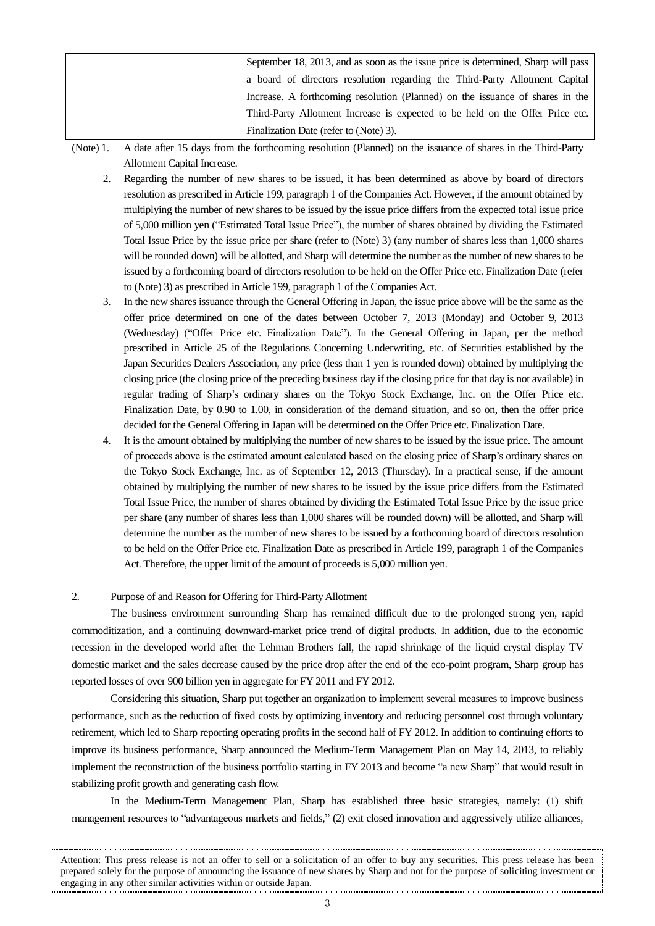| September 18, 2013, and as soon as the issue price is determined, Sharp will pass |
|-----------------------------------------------------------------------------------|
| a board of directors resolution regarding the Third-Party Allotment Capital       |
| Increase. A forthcoming resolution (Planned) on the issuance of shares in the     |
| Third-Party Allotment Increase is expected to be held on the Offer Price etc.     |
| Finalization Date (refer to (Note) 3).                                            |

(Note) 1. A date after 15 days from the forthcoming resolution (Planned) on the issuance of shares in the Third-Party Allotment Capital Increase.

- 2. Regarding the number of new shares to be issued, it has been determined as above by board of directors resolution as prescribed in Article 199, paragraph 1 of the Companies Act. However, if the amount obtained by multiplying the number of new shares to be issued by the issue price differs from the expected total issue price of 5,000 million yen ("Estimated Total Issue Price"), the number of shares obtained by dividing the Estimated Total Issue Price by the issue price per share (refer to (Note) 3) (any number of shares less than 1,000 shares will be rounded down) will be allotted, and Sharp will determine the number as the number of new shares to be issued by a forthcoming board of directors resolution to be held on the Offer Price etc. Finalization Date (refer to (Note) 3) as prescribed in Article 199, paragraph 1 of the Companies Act.
- 3. In the new shares issuance through the General Offering in Japan, the issue price above will be the same as the offer price determined on one of the dates between October 7, 2013 (Monday) and October 9, 2013 (Wednesday) ("Offer Price etc. Finalization Date"). In the General Offering in Japan, per the method prescribed in Article 25 of the Regulations Concerning Underwriting, etc. of Securities established by the Japan Securities Dealers Association, any price (less than 1 yen is rounded down) obtained by multiplying the closing price (the closing price of the preceding business day if the closing price for that day is not available) in regular trading of Sharp's ordinary shares on the Tokyo Stock Exchange, Inc. on the Offer Price etc. Finalization Date, by 0.90 to 1.00, in consideration of the demand situation, and so on, then the offer price decided for the General Offering in Japan will be determined on the Offer Price etc. Finalization Date.
- 4. It is the amount obtained by multiplying the number of new shares to be issued by the issue price. The amount of proceeds above is the estimated amount calculated based on the closing price of Sharp's ordinary shares on the Tokyo Stock Exchange, Inc. as of September 12, 2013 (Thursday). In a practical sense, if the amount obtained by multiplying the number of new shares to be issued by the issue price differs from the Estimated Total Issue Price, the number of shares obtained by dividing the Estimated Total Issue Price by the issue price per share (any number of shares less than 1,000 shares will be rounded down) will be allotted, and Sharp will determine the number as the number of new shares to be issued by a forthcoming board of directors resolution to be held on the Offer Price etc. Finalization Date as prescribed in Article 199, paragraph 1 of the Companies Act. Therefore, the upper limit of the amount of proceeds is 5,000 million yen.

### 2. Purpose of and Reason for Offering for Third-Party Allotment

The business environment surrounding Sharp has remained difficult due to the prolonged strong yen, rapid commoditization, and a continuing downward-market price trend of digital products. In addition, due to the economic recession in the developed world after the Lehman Brothers fall, the rapid shrinkage of the liquid crystal display TV domestic market and the sales decrease caused by the price drop after the end of the eco-point program, Sharp group has reported losses of over 900 billion yen in aggregate for FY 2011 and FY 2012.

Considering this situation, Sharp put together an organization to implement several measures to improve business performance, such as the reduction of fixed costs by optimizing inventory and reducing personnel cost through voluntary retirement, which led to Sharp reporting operating profits in the second half of FY 2012. In addition to continuing efforts to improve its business performance, Sharp announced the Medium-Term Management Plan on May 14, 2013, to reliably implement the reconstruction of the business portfolio starting in FY 2013 and become "a new Sharp" that would result in stabilizing profit growth and generating cash flow.

In the Medium-Term Management Plan, Sharp has established three basic strategies, namely: (1) shift management resources to "advantageous markets and fields," (2) exit closed innovation and aggressively utilize alliances,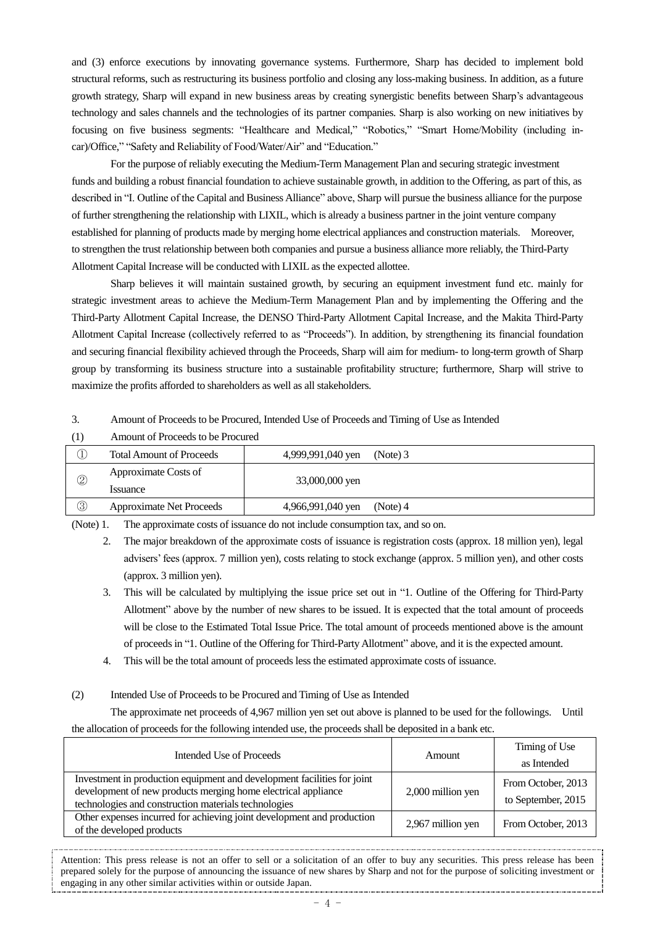and (3) enforce executions by innovating governance systems. Furthermore, Sharp has decided to implement bold structural reforms, such as restructuring its business portfolio and closing any loss-making business. In addition, as a future growth strategy, Sharp will expand in new business areas by creating synergistic benefits between Sharp's advantageous technology and sales channels and the technologies of its partner companies. Sharp is also working on new initiatives by focusing on five business segments: "Healthcare and Medical," "Robotics," "Smart Home/Mobility (including incar)/Office," "Safety and Reliability of Food/Water/Air" and "Education."

For the purpose of reliably executing the Medium-Term Management Plan and securing strategic investment funds and building a robust financial foundation to achieve sustainable growth, in addition to the Offering, as part of this, as described in "I. Outline of the Capital and Business Alliance" above, Sharp will pursue the business alliance for the purpose of further strengthening the relationship with LIXIL, which is already a business partner in the joint venture company established for planning of products made by merging home electrical appliances and construction materials. Moreover, to strengthen the trust relationship between both companies and pursue a business alliance more reliably, the Third-Party Allotment Capital Increase will be conducted with LIXIL as the expected allottee.

Sharp believes it will maintain sustained growth, by securing an equipment investment fund etc. mainly for strategic investment areas to achieve the Medium-Term Management Plan and by implementing the Offering and the Third-Party Allotment Capital Increase, the DENSO Third-Party Allotment Capital Increase, and the Makita Third-Party Allotment Capital Increase (collectively referred to as "Proceeds"). In addition, by strengthening its financial foundation and securing financial flexibility achieved through the Proceeds, Sharp will aim for medium- to long-term growth of Sharp group by transforming its business structure into a sustainable profitability structure; furthermore, Sharp will strive to maximize the profits afforded to shareholders as well as all stakeholders.

3. Amount of Proceeds to be Procured, Intended Use of Proceeds and Timing of Use as Intended

|                | <b>Total Amount of Proceeds</b>         | 4,999,991,040 yen | (Note) 3 |
|----------------|-----------------------------------------|-------------------|----------|
| J,             |                                         |                   |          |
| $^{\circledR}$ | Approximate Costs of<br><i>s</i> suance | 33,000,000 yen    |          |
| 3              | <b>Approximate Net Proceeds</b>         | 4,966,991,040 yen | (Note) 4 |

(1) Amount of Proceeds to be Procured

(Note) 1. The approximate costs of issuance do not include consumption tax, and so on.

2. The major breakdown of the approximate costs of issuance is registration costs (approx. 18 million yen), legal advisers' fees (approx. 7 million yen), costs relating to stock exchange (approx. 5 million yen), and other costs (approx. 3 million yen).

3. This will be calculated by multiplying the issue price set out in "1. Outline of the Offering for Third-Party Allotment" above by the number of new shares to be issued. It is expected that the total amount of proceeds will be close to the Estimated Total Issue Price. The total amount of proceeds mentioned above is the amount of proceeds in "1. Outline of the Offering for Third-Party Allotment" above, and it is the expected amount.

- 4. This will be the total amount of proceeds less the estimated approximate costs of issuance.
- (2) Intended Use of Proceeds to be Procured and Timing of Use as Intended

The approximate net proceeds of 4,967 million yen set out above is planned to be used for the followings. Until the allocation of proceeds for the following intended use, the proceeds shall be deposited in a bank etc.

| Intended Use of Proceeds                                                                                                                                                                         | Amount            | Timing of Use                            |
|--------------------------------------------------------------------------------------------------------------------------------------------------------------------------------------------------|-------------------|------------------------------------------|
|                                                                                                                                                                                                  |                   | as Intended                              |
| Investment in production equipment and development facilities for joint<br>development of new products merging home electrical appliance<br>technologies and construction materials technologies | 2,000 million yen | From October, 2013<br>to September, 2015 |
| Other expenses incurred for achieving joint development and production<br>of the developed products                                                                                              | 2,967 million yen | From October, 2013                       |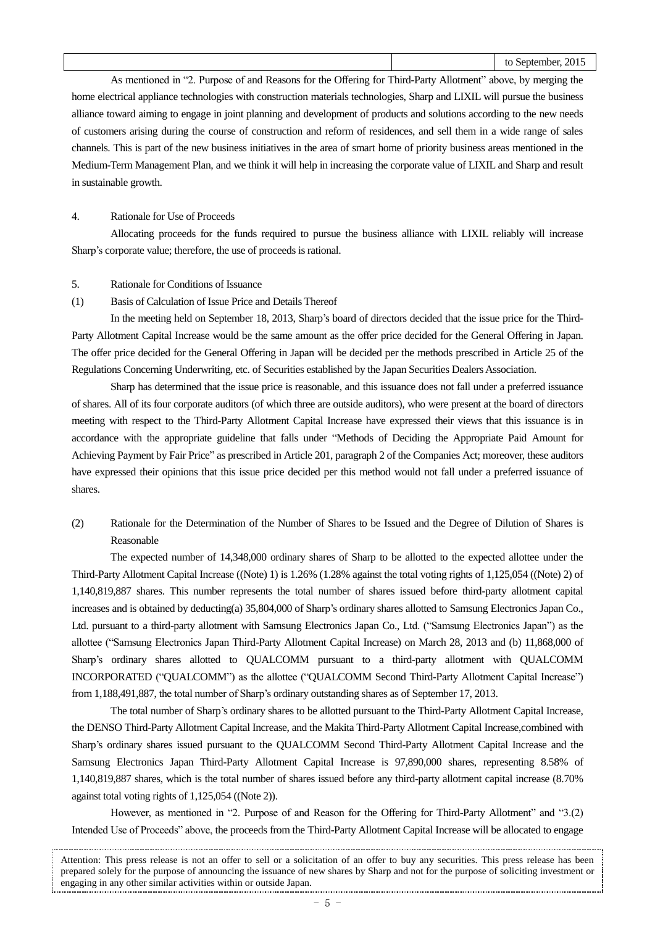As mentioned in "2. Purpose of and Reasons for the Offering for Third-Party Allotment" above, by merging the home electrical appliance technologies with construction materials technologies, Sharp and LIXIL will pursue the business alliance toward aiming to engage in joint planning and development of products and solutions according to the new needs of customers arising during the course of construction and reform of residences, and sell them in a wide range of sales channels. This is part of the new business initiatives in the area of smart home of priority business areas mentioned in the Medium-Term Management Plan, and we think it will help in increasing the corporate value of LIXIL and Sharp and result in sustainable growth.

#### 4. Rationale for Use of Proceeds

Allocating proceeds for the funds required to pursue the business alliance with LIXIL reliably will increase Sharp's corporate value; therefore, the use of proceeds is rational.

- 5. Rationale for Conditions of Issuance
- (1) Basis of Calculation of Issue Price and Details Thereof

In the meeting held on September 18, 2013, Sharp's board of directors decided that the issue price for the Third-Party Allotment Capital Increase would be the same amount as the offer price decided for the General Offering in Japan. The offer price decided for the General Offering in Japan will be decided per the methods prescribed in Article 25 of the Regulations Concerning Underwriting, etc. of Securities established by the Japan Securities Dealers Association.

Sharp has determined that the issue price is reasonable, and this issuance does not fall under a preferred issuance of shares. All of its four corporate auditors (of which three are outside auditors), who were present at the board of directors meeting with respect to the Third-Party Allotment Capital Increase have expressed their views that this issuance is in accordance with the appropriate guideline that falls under "Methods of Deciding the Appropriate Paid Amount for Achieving Payment by Fair Price" as prescribed in Article 201, paragraph 2 of the Companies Act; moreover, these auditors have expressed their opinions that this issue price decided per this method would not fall under a preferred issuance of shares.

(2) Rationale for the Determination of the Number of Shares to be Issued and the Degree of Dilution of Shares is Reasonable

The expected number of 14,348,000 ordinary shares of Sharp to be allotted to the expected allottee under the Third-Party Allotment Capital Increase ((Note) 1) is 1.26% (1.28% against the total voting rights of 1,125,054 ((Note) 2) of 1,140,819,887 shares. This number represents the total number of shares issued before third-party allotment capital increases and is obtained by deducting(a) 35,804,000 of Sharp's ordinary shares allotted to Samsung Electronics Japan Co., Ltd. pursuant to a third-party allotment with Samsung Electronics Japan Co., Ltd. ("Samsung Electronics Japan") as the allottee ("Samsung Electronics Japan Third-Party Allotment Capital Increase) on March 28, 2013 and (b) 11,868,000 of Sharp's ordinary shares allotted to QUALCOMM pursuant to a third-party allotment with QUALCOMM INCORPORATED ("QUALCOMM") as the allottee ("QUALCOMM Second Third-Party Allotment Capital Increase") from 1,188,491,887, the total number of Sharp's ordinary outstanding shares as of September 17, 2013.

The total number of Sharp's ordinary shares to be allotted pursuant to the Third-Party Allotment Capital Increase, the DENSO Third-Party Allotment Capital Increase, and the Makita Third-Party Allotment Capital Increase,combined with Sharp's ordinary shares issued pursuant to the QUALCOMM Second Third-Party Allotment Capital Increase and the Samsung Electronics Japan Third-Party Allotment Capital Increase is 97,890,000 shares, representing 8.58% of 1,140,819,887 shares, which is the total number of shares issued before any third-party allotment capital increase (8.70% against total voting rights of 1,125,054 ((Note 2)).

However, as mentioned in "2. Purpose of and Reason for the Offering for Third-Party Allotment" and "3.(2) Intended Use of Proceeds" above, the proceeds from the Third-Party Allotment Capital Increase will be allocated to engage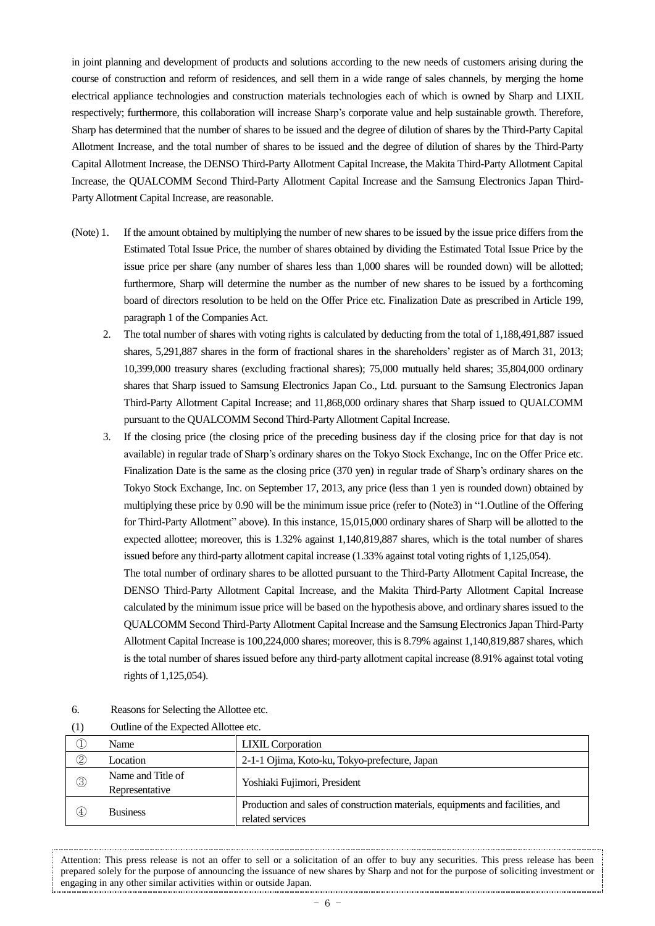in joint planning and development of products and solutions according to the new needs of customers arising during the course of construction and reform of residences, and sell them in a wide range of sales channels, by merging the home electrical appliance technologies and construction materials technologies each of which is owned by Sharp and LIXIL respectively; furthermore, this collaboration will increase Sharp's corporate value and help sustainable growth. Therefore, Sharp has determined that the number of shares to be issued and the degree of dilution of shares by the Third-Party Capital Allotment Increase, and the total number of shares to be issued and the degree of dilution of shares by the Third-Party Capital Allotment Increase, the DENSO Third-Party Allotment Capital Increase, the Makita Third-Party Allotment Capital Increase, the QUALCOMM Second Third-Party Allotment Capital Increase and the Samsung Electronics Japan Third-Party Allotment Capital Increase, are reasonable.

- (Note) 1. If the amount obtained by multiplying the number of new shares to be issued by the issue price differs from the Estimated Total Issue Price, the number of shares obtained by dividing the Estimated Total Issue Price by the issue price per share (any number of shares less than 1,000 shares will be rounded down) will be allotted; furthermore, Sharp will determine the number as the number of new shares to be issued by a forthcoming board of directors resolution to be held on the Offer Price etc. Finalization Date as prescribed in Article 199, paragraph 1 of the Companies Act.
	- 2. The total number of shares with voting rights is calculated by deducting from the total of 1,188,491,887 issued shares, 5,291,887 shares in the form of fractional shares in the shareholders' register as of March 31, 2013; 10,399,000 treasury shares (excluding fractional shares); 75,000 mutually held shares; 35,804,000 ordinary shares that Sharp issued to Samsung Electronics Japan Co., Ltd. pursuant to the Samsung Electronics Japan Third-Party Allotment Capital Increase; and 11,868,000 ordinary shares that Sharp issued to QUALCOMM pursuant to the QUALCOMM Second Third-Party Allotment Capital Increase.
	- 3. If the closing price (the closing price of the preceding business day if the closing price for that day is not available) in regular trade of Sharp's ordinary shares on the Tokyo Stock Exchange, Inc on the Offer Price etc. Finalization Date is the same as the closing price (370 yen) in regular trade of Sharp's ordinary shares on the Tokyo Stock Exchange, Inc. on September 17, 2013, any price (less than 1 yen is rounded down) obtained by multiplying these price by 0.90 will be the minimum issue price (refer to (Note3) in "1.Outline of the Offering for Third-Party Allotment" above). In this instance, 15,015,000 ordinary shares of Sharp will be allotted to the expected allottee; moreover, this is 1.32% against 1,140,819,887 shares, which is the total number of shares issued before any third-party allotment capital increase (1.33% against total voting rights of 1,125,054).

The total number of ordinary shares to be allotted pursuant to the Third-Party Allotment Capital Increase, the DENSO Third-Party Allotment Capital Increase, and the Makita Third-Party Allotment Capital Increase calculated by the minimum issue price will be based on the hypothesis above, and ordinary shares issued to the QUALCOMM Second Third-Party Allotment Capital Increase and the Samsung Electronics Japan Third-Party Allotment Capital Increase is 100,224,000 shares; moreover, this is 8.79% against 1,140,819,887 shares, which is the total number of shares issued before any third-party allotment capital increase (8.91% against total voting rights of 1,125,054).

6. Reasons for Selecting the Allottee etc.

| (1)<br>Outline of the Expected Allottee etc. |  |
|----------------------------------------------|--|
|----------------------------------------------|--|

| ◡               | Name                                | <b>LIXIL</b> Corporation                                                                           |  |
|-----------------|-------------------------------------|----------------------------------------------------------------------------------------------------|--|
| $^{\copyright}$ | Location                            | 2-1-1 Ojima, Koto-ku, Tokyo-prefecture, Japan                                                      |  |
| $\circledS$     | Name and Title of<br>Representative | Yoshiaki Fujimori, President                                                                       |  |
| (4)             | <b>Business</b>                     | Production and sales of construction materials, equipments and facilities, and<br>related services |  |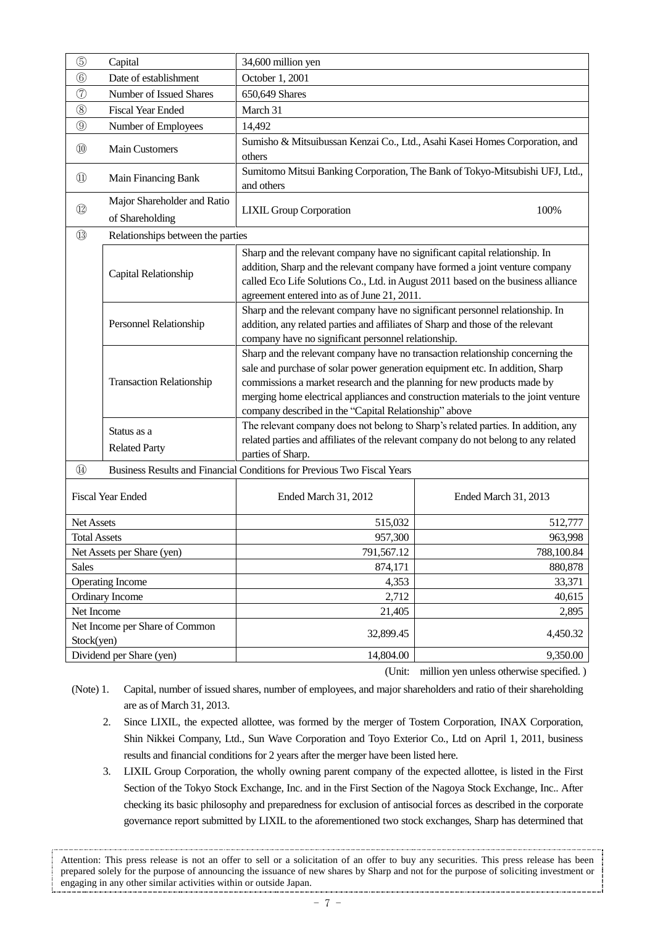| $\circledS$                                  | Capital                                        | 34,600 million yen                                                                                                                                                                                                                                                                                                                                                                        |                      |  |  |
|----------------------------------------------|------------------------------------------------|-------------------------------------------------------------------------------------------------------------------------------------------------------------------------------------------------------------------------------------------------------------------------------------------------------------------------------------------------------------------------------------------|----------------------|--|--|
| $\circled6$                                  | Date of establishment                          | October 1, 2001                                                                                                                                                                                                                                                                                                                                                                           |                      |  |  |
| $\circled{7}$                                | Number of Issued Shares                        | 650,649 Shares                                                                                                                                                                                                                                                                                                                                                                            |                      |  |  |
| $\circledS$                                  | <b>Fiscal Year Ended</b>                       | March 31                                                                                                                                                                                                                                                                                                                                                                                  |                      |  |  |
| $\circledS$                                  | Number of Employees                            | 14,492                                                                                                                                                                                                                                                                                                                                                                                    |                      |  |  |
| $^{\circledR}$                               | <b>Main Customers</b>                          | Sumisho & Mitsuibussan Kenzai Co., Ltd., Asahi Kasei Homes Corporation, and<br>others                                                                                                                                                                                                                                                                                                     |                      |  |  |
| $^{\textcircled{\scriptsize{1}}}$            | Main Financing Bank                            | Sumitomo Mitsui Banking Corporation, The Bank of Tokyo-Mitsubishi UFJ, Ltd.,<br>and others                                                                                                                                                                                                                                                                                                |                      |  |  |
| $\circled{1}$                                | Major Shareholder and Ratio<br>of Shareholding | <b>LIXIL Group Corporation</b>                                                                                                                                                                                                                                                                                                                                                            | 100%                 |  |  |
| $\circled{1}$                                | Relationships between the parties              |                                                                                                                                                                                                                                                                                                                                                                                           |                      |  |  |
|                                              | Capital Relationship                           | Sharp and the relevant company have no significant capital relationship. In<br>addition, Sharp and the relevant company have formed a joint venture company<br>called Eco Life Solutions Co., Ltd. in August 2011 based on the business alliance<br>agreement entered into as of June 21, 2011.                                                                                           |                      |  |  |
|                                              | <b>Personnel Relationship</b>                  | Sharp and the relevant company have no significant personnel relationship. In<br>addition, any related parties and affiliates of Sharp and those of the relevant<br>company have no significant personnel relationship.                                                                                                                                                                   |                      |  |  |
|                                              | <b>Transaction Relationship</b>                | Sharp and the relevant company have no transaction relationship concerning the<br>sale and purchase of solar power generation equipment etc. In addition, Sharp<br>commissions a market research and the planning for new products made by<br>merging home electrical appliances and construction materials to the joint venture<br>company described in the "Capital Relationship" above |                      |  |  |
|                                              | Status as a<br><b>Related Party</b>            | The relevant company does not belong to Sharp's related parties. In addition, any<br>related parties and affiliates of the relevant company do not belong to any related<br>parties of Sharp.                                                                                                                                                                                             |                      |  |  |
| $\circled{4}$                                |                                                | Business Results and Financial Conditions for Previous Two Fiscal Years                                                                                                                                                                                                                                                                                                                   |                      |  |  |
|                                              | <b>Fiscal Year Ended</b>                       | Ended March 31, 2012                                                                                                                                                                                                                                                                                                                                                                      | Ended March 31, 2013 |  |  |
| Net Assets                                   |                                                | 515,032                                                                                                                                                                                                                                                                                                                                                                                   | 512,777              |  |  |
| <b>Total Assets</b>                          |                                                | 957,300                                                                                                                                                                                                                                                                                                                                                                                   | 963,998              |  |  |
| Net Assets per Share (yen)                   |                                                | 791,567.12                                                                                                                                                                                                                                                                                                                                                                                | 788,100.84           |  |  |
| <b>Sales</b>                                 |                                                | 874,171                                                                                                                                                                                                                                                                                                                                                                                   | 880,878              |  |  |
| <b>Operating Income</b>                      |                                                | 4,353                                                                                                                                                                                                                                                                                                                                                                                     | 33,371               |  |  |
| Ordinary Income                              |                                                | 2,712                                                                                                                                                                                                                                                                                                                                                                                     | 40,615               |  |  |
| Net Income                                   |                                                | 21,405                                                                                                                                                                                                                                                                                                                                                                                    | 2,895                |  |  |
| Net Income per Share of Common<br>Stock(yen) |                                                | 32,899.45                                                                                                                                                                                                                                                                                                                                                                                 | 4,450.32             |  |  |
|                                              | Dividend per Share (yen)                       | 14,804.00                                                                                                                                                                                                                                                                                                                                                                                 | 9,350.00             |  |  |

(Unit: million yen unless otherwise specified. )

- (Note) 1. Capital, number of issued shares, number of employees, and major shareholders and ratio of their shareholding are as of March 31, 2013.
	- 2. Since LIXIL, the expected allottee, was formed by the merger of Tostem Corporation, INAX Corporation, Shin Nikkei Company, Ltd., Sun Wave Corporation and Toyo Exterior Co., Ltd on April 1, 2011, business results and financial conditions for 2 years after the merger have been listed here.
	- 3. LIXIL Group Corporation, the wholly owning parent company of the expected allottee, is listed in the First Section of the Tokyo Stock Exchange, Inc. and in the First Section of the Nagoya Stock Exchange, Inc.. After checking its basic philosophy and preparedness for exclusion of antisocial forces as described in the corporate governance report submitted by LIXIL to the aforementioned two stock exchanges, Sharp has determined that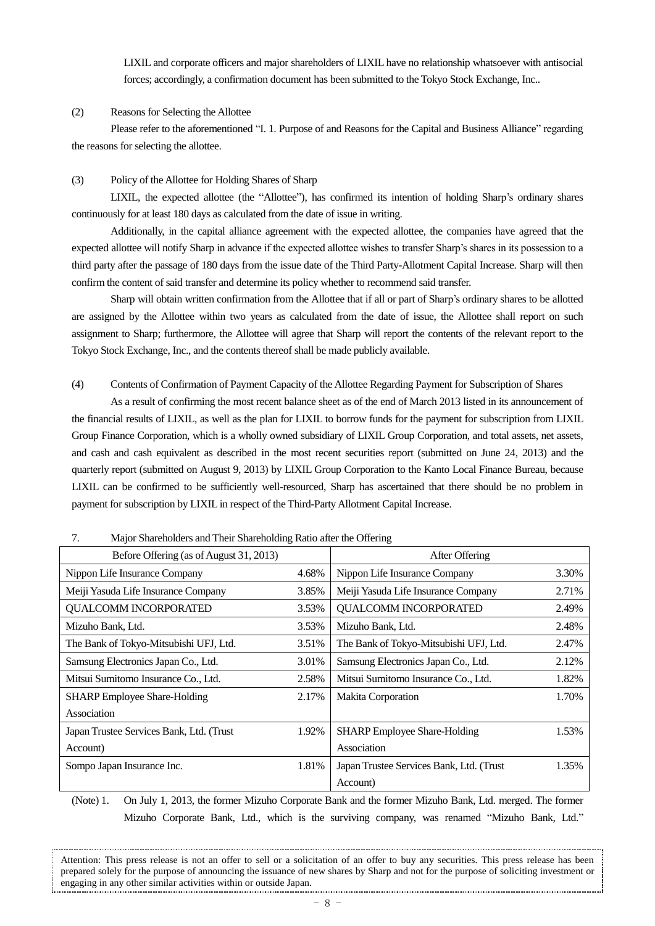LIXIL and corporate officers and major shareholders of LIXIL have no relationship whatsoever with antisocial forces; accordingly, a confirmation document has been submitted to the Tokyo Stock Exchange, Inc..

(2) Reasons for Selecting the Allottee

Please refer to the aforementioned "I. 1. Purpose of and Reasons for the Capital and Business Alliance" regarding the reasons for selecting the allottee.

### (3) Policy of the Allottee for Holding Shares of Sharp

LIXIL, the expected allottee (the "Allottee"), has confirmed its intention of holding Sharp's ordinary shares continuously for at least 180 days as calculated from the date of issue in writing.

Additionally, in the capital alliance agreement with the expected allottee, the companies have agreed that the expected allottee will notify Sharp in advance if the expected allottee wishes to transfer Sharp's shares in its possession to a third party after the passage of 180 days from the issue date of the Third Party-Allotment Capital Increase. Sharp will then confirm the content of said transfer and determine its policy whether to recommend said transfer.

Sharp will obtain written confirmation from the Allottee that if all or part of Sharp's ordinary shares to be allotted are assigned by the Allottee within two years as calculated from the date of issue, the Allottee shall report on such assignment to Sharp; furthermore, the Allottee will agree that Sharp will report the contents of the relevant report to the Tokyo Stock Exchange, Inc., and the contents thereof shall be made publicly available.

(4) Contents of Confirmation of Payment Capacity of the Allottee Regarding Payment for Subscription of Shares

As a result of confirming the most recent balance sheet as of the end of March 2013 listed in its announcement of the financial results of LIXIL, as well as the plan for LIXIL to borrow funds for the payment for subscription from LIXIL Group Finance Corporation, which is a wholly owned subsidiary of LIXIL Group Corporation, and total assets, net assets, and cash and cash equivalent as described in the most recent securities report (submitted on June 24, 2013) and the quarterly report (submitted on August 9, 2013) by LIXIL Group Corporation to the Kanto Local Finance Bureau, because LIXIL can be confirmed to be sufficiently well-resourced, Sharp has ascertained that there should be no problem in payment for subscription by LIXIL in respect of the Third-Party Allotment Capital Increase.

| Before Offering (as of August 31, 2013)  |       | After Offering                           |       |
|------------------------------------------|-------|------------------------------------------|-------|
| Nippon Life Insurance Company            | 4.68% | Nippon Life Insurance Company            | 3.30% |
| Meiji Yasuda Life Insurance Company      | 3.85% | Meiji Yasuda Life Insurance Company      | 2.71% |
| QUALCOMM INCORPORATED                    | 3.53% | QUALCOMM INCORPORATED                    | 2.49% |
| Mizuho Bank, Ltd.                        | 3.53% | Mizuho Bank, Ltd.                        | 2.48% |
| The Bank of Tokyo-Mitsubishi UFJ, Ltd.   | 3.51% | The Bank of Tokyo-Mitsubishi UFJ, Ltd.   | 2.47% |
| Samsung Electronics Japan Co., Ltd.      | 3.01% | Samsung Electronics Japan Co., Ltd.      | 2.12% |
| Mitsui Sumitomo Insurance Co., Ltd.      | 2.58% | Mitsui Sumitomo Insurance Co., Ltd.      | 1.82% |
| <b>SHARP</b> Employee Share-Holding      | 2.17% | Makita Corporation                       | 1.70% |
| Association                              |       |                                          |       |
| Japan Trustee Services Bank, Ltd. (Trust | 1.92% | <b>SHARP</b> Employee Share-Holding      | 1.53% |
| Account)                                 |       | Association                              |       |
| Sompo Japan Insurance Inc.               | 1.81% | Japan Trustee Services Bank, Ltd. (Trust | 1.35% |
|                                          |       | Account)                                 |       |

7. Major Shareholders and Their Shareholding Ratio after the Offering

(Note) 1. On July 1, 2013, the former Mizuho Corporate Bank and the former Mizuho Bank, Ltd. merged. The former Mizuho Corporate Bank, Ltd., which is the surviving company, was renamed "Mizuho Bank, Ltd."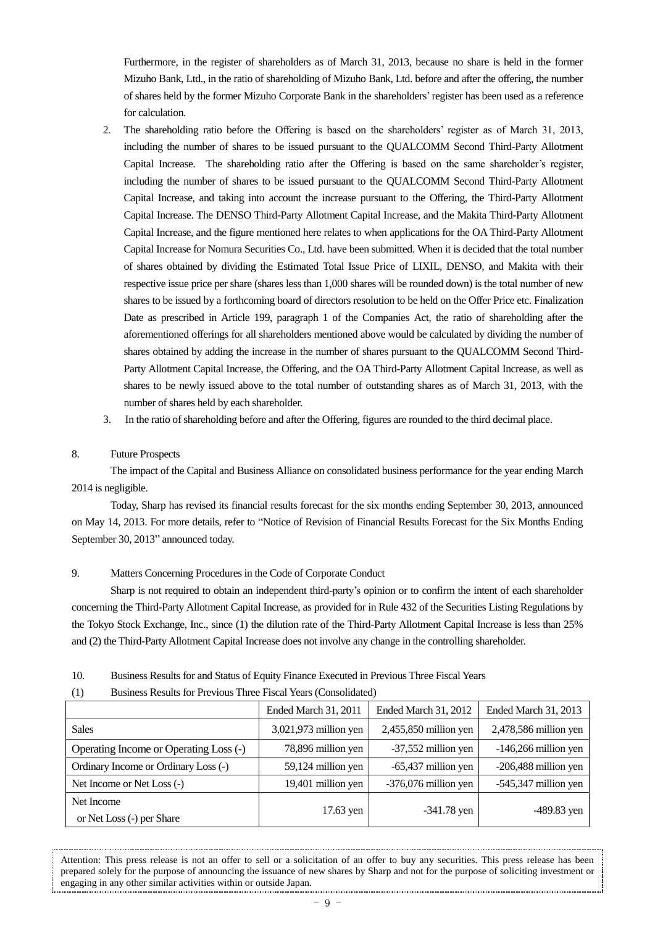Furthermore, in the register of shareholders as of March 31, 2013, because no share is held in the former Mizuho Bank, Ltd., in the ratio of shareholding of Mizuho Bank, Ltd. before and after the offering, the number of shares held by the former Mizuho Corporate Bank in the shareholders'register has been used as a reference for calculation.

- 2. The shareholding ratio before the Offering is based on the shareholders' register as of March 31, 2013, including the number of shares to be issued pursuant to the QUALCOMM Second Third-Party Allotment Capital Increase. The shareholding ratio after the Offering is based on the same shareholder's register, including the number of shares to be issued pursuant to the QUALCOMM Second Third-Party Allotment Capital Increase, and taking into account the increase pursuant to the Offering, the Third-Party Allotment Capital Increase. The DENSO Third-Party Allotment Capital Increase, and the Makita Third-Party Allotment Capital Increase, and the figure mentioned here relates to when applications for the OA Third-Party Allotment Capital Increase for Nomura Securities Co., Ltd. have been submitted. When it is decided that the total number of shares obtained by dividing the Estimated Total Issue Price of LIXIL, DENSO, and Makita with their respective issue price per share (shares less than 1,000 shares will be rounded down) is the total number of new shares to be issued by a forthcoming board of directors resolution to be held on the Offer Price etc. Finalization Date as prescribed in Article 199, paragraph 1 of the Companies Act, the ratio of shareholding after the aforementioned offerings for all shareholders mentioned above would be calculated by dividing the number of shares obtained by adding the increase in the number of shares pursuant to the QUALCOMM Second Third-Party Allotment Capital Increase, the Offering, and the OA Third-Party Allotment Capital Increase, as well as shares to be newly issued above to the total number of outstanding shares as of March 31, 2013, with the number of shares held by each shareholder.
- 3. In the ratio of shareholding before and after the Offering, figures are rounded to the third decimal place.

#### 8. Future Prospects

The impact of the Capital and Business Alliance on consolidated business performance for the year ending March 2014 is negligible.

Today, Sharp has revised its financial results forecast for the six months ending September 30, 2013, announced on May 14, 2013. For more details, refer to "Notice of Revision of Financial Results Forecast for the Six Months Ending September 30, 2013" announced today.

### 9. Matters Concerning Procedures in the Code of Corporate Conduct

Sharp is not required to obtain an independent third-party's opinion or to confirm the intent of each shareholder concerning the Third-Party Allotment Capital Increase, as provided for in Rule 432 of the Securities Listing Regulations by the Tokyo Stock Exchange, Inc., since (1) the dilution rate of the Third-Party Allotment Capital Increase is less than 25% and (2) the Third-Party Allotment Capital Increase does not involve any change in the controlling shareholder.

10. Business Results for and Status of Equity Finance Executed in Previous Three Fiscal Years

#### (1) Business Results for Previous Three Fiscal Years (Consolidated)

|                                        | Ended March 31, 2011  | Ended March 31, 2012   | Ended March 31, 2013   |
|----------------------------------------|-----------------------|------------------------|------------------------|
| <b>Sales</b>                           | 3,021,973 million yen | 2,455,850 million yen  | 2,478,586 million yen  |
| Operating Income or Operating Loss (-) | 78,896 million yen    | -37,552 million yen    | $-146,266$ million yen |
| Ordinary Income or Ordinary Loss (-)   | 59,124 million yen    | $-65,437$ million yen  | -206,488 million yen   |
| Net Income or Net Loss (-)             | 19,401 million yen    | $-376,076$ million yen | $-545,347$ million yen |
| Net Income                             | 17.63 yen             | $-341.78$ yen          | $-489.83$ yen          |
| or Net Loss (-) per Share              |                       |                        |                        |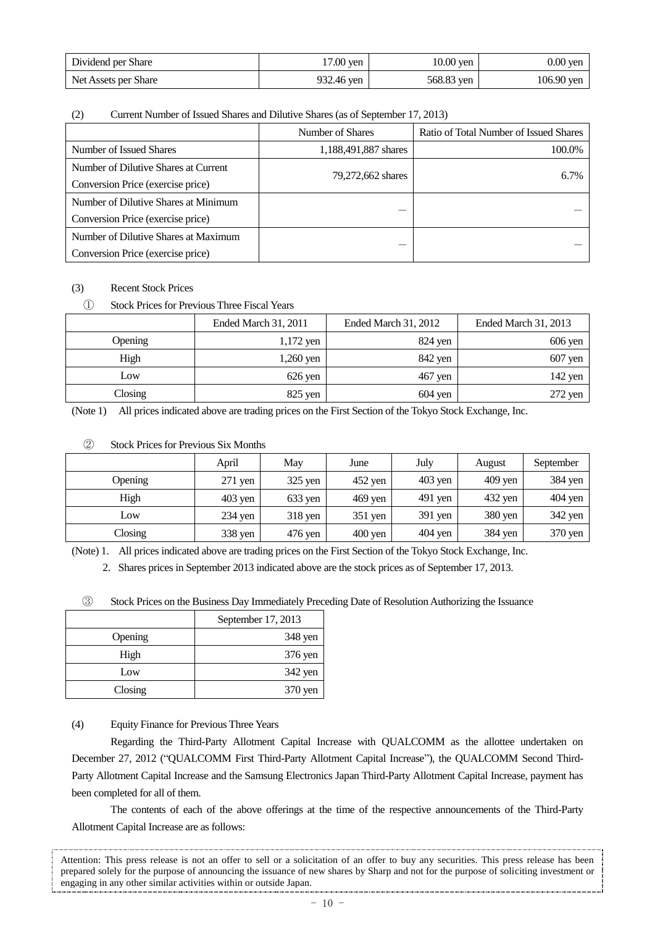| Dividend per Share   | 17.00 yen  | $10.00$ yen | $0.00$ yen   |
|----------------------|------------|-------------|--------------|
| Net Assets per Share | 932.46 yen | 568.83 yen  | $106.90$ ven |

### (2) Current Number of Issued Shares and Dilutive Shares (as of September 17, 2013)

|                                      | Number of Shares     | Ratio of Total Number of Issued Shares |
|--------------------------------------|----------------------|----------------------------------------|
| Number of Issued Shares              | 1,188,491,887 shares | 100.0%                                 |
| Number of Dilutive Shares at Current | 79,272,662 shares    | 6.7%                                   |
| Conversion Price (exercise price)    |                      |                                        |
| Number of Dilutive Shares at Minimum |                      |                                        |
| Conversion Price (exercise price)    |                      |                                        |
| Number of Dilutive Shares at Maximum |                      |                                        |
| Conversion Price (exercise price)    |                      |                                        |

# (3) Recent Stock Prices

# ① Stock Prices for Previous Three Fiscal Years

|         | Ended March 31, 2011 | Ended March 31, 2012 | Ended March 31, 2013 |
|---------|----------------------|----------------------|----------------------|
| Opening | $1,172$ yen          | $824$ yen            | $606$ yen            |
| High    | $1,260$ yen          | 842 yen              | $607$ yen            |
| Low     | $626$ yen            | $467$ yen            | $142$ yen            |
| Closing | $825$ yen            | $604$ yen            | $272$ yen            |

(Note 1) All prices indicated above are trading prices on the First Section of the Tokyo Stock Exchange, Inc.

### ② Stock Prices for Previous Six Months

|         | April     | May       | June              | July      | August    | September |
|---------|-----------|-----------|-------------------|-----------|-----------|-----------|
| Opening | 271 yen   | $325$ yen | $452$ yen         | $403$ yen | $409$ yen | 384 yen   |
| High    | $403$ yen | $633$ yen | $469$ yen         | $491$ yen | 432 yen   | $404$ yen |
| Low     | $234$ yen | $318$ yen | $351$ yen         | $391$ yen | 380 yen   | 342 yen   |
| Closing | 338 yen   | $476$ yen | $400 \text{ yen}$ | $404$ yen | 384 yen   | 370 yen   |

(Note) 1. All prices indicated above are trading prices on the First Section of the Tokyo Stock Exchange, Inc.

2. Shares prices in September 2013 indicated above are the stock prices as of September 17, 2013.

③ Stock Prices on the Business Day Immediately Preceding Date of Resolution Authorizing the Issuance

|         | September 17, 2013 |  |
|---------|--------------------|--|
| Opening | 348 yen            |  |
| High    | 376 yen            |  |
| Low     | 342 yen            |  |
| Closing | 370 yen            |  |

(4) Equity Finance for Previous Three Years

Regarding the Third-Party Allotment Capital Increase with QUALCOMM as the allottee undertaken on December 27, 2012 ("QUALCOMM First Third-Party Allotment Capital Increase"), the QUALCOMM Second Third-Party Allotment Capital Increase and the Samsung Electronics Japan Third-Party Allotment Capital Increase, payment has been completed for all of them.

The contents of each of the above offerings at the time of the respective announcements of the Third-Party Allotment Capital Increase are as follows: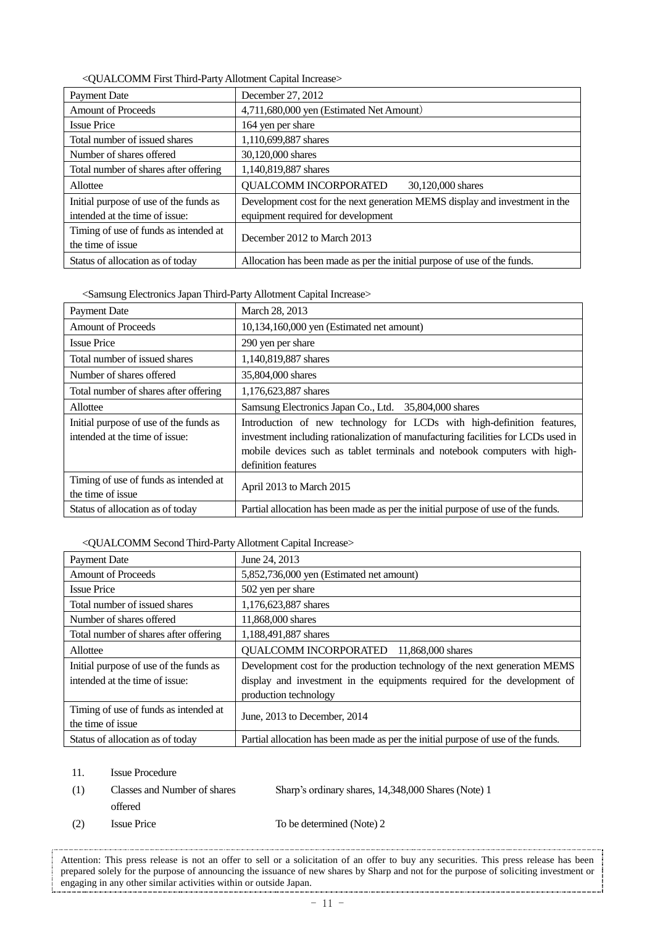| Payment Date                                               | December 27, 2012                                                           |  |  |
|------------------------------------------------------------|-----------------------------------------------------------------------------|--|--|
| <b>Amount of Proceeds</b>                                  | 4,711,680,000 yen (Estimated Net Amount)                                    |  |  |
| <b>Issue Price</b>                                         | 164 yen per share                                                           |  |  |
| Total number of issued shares                              | 1,110,699,887 shares                                                        |  |  |
| Number of shares offered                                   | 30,120,000 shares                                                           |  |  |
| Total number of shares after offering                      | 1,140,819,887 shares                                                        |  |  |
| Allottee                                                   | <b>QUALCOMM INCORPORATED</b><br>30,120,000 shares                           |  |  |
| Initial purpose of use of the funds as                     | Development cost for the next generation MEMS display and investment in the |  |  |
| intended at the time of issue:                             | equipment required for development                                          |  |  |
| Timing of use of funds as intended at<br>the time of issue | December 2012 to March 2013                                                 |  |  |
| Status of allocation as of today                           | Allocation has been made as per the initial purpose of use of the funds.    |  |  |

<QUALCOMM First Third-Party Allotment Capital Increase>

<Samsung Electronics Japan Third-Party Allotment Capital Increase>

| <b>Payment Date</b>                                                      | March 28, 2013                                                                                                                                                                                                                                                  |
|--------------------------------------------------------------------------|-----------------------------------------------------------------------------------------------------------------------------------------------------------------------------------------------------------------------------------------------------------------|
| <b>Amount of Proceeds</b>                                                | 10,134,160,000 yen (Estimated net amount)                                                                                                                                                                                                                       |
| <b>Issue Price</b>                                                       | 290 yen per share                                                                                                                                                                                                                                               |
| Total number of issued shares                                            | 1,140,819,887 shares                                                                                                                                                                                                                                            |
| Number of shares offered                                                 | 35,804,000 shares                                                                                                                                                                                                                                               |
| Total number of shares after offering                                    | 1,176,623,887 shares                                                                                                                                                                                                                                            |
| Allottee                                                                 | Samsung Electronics Japan Co., Ltd. 35,804,000 shares                                                                                                                                                                                                           |
| Initial purpose of use of the funds as<br>intended at the time of issue: | Introduction of new technology for LCDs with high-definition features,<br>investment including rationalization of manufacturing facilities for LCDs used in<br>mobile devices such as tablet terminals and notebook computers with high-<br>definition features |
| Timing of use of funds as intended at<br>the time of issue               | April 2013 to March 2015                                                                                                                                                                                                                                        |
| Status of allocation as of today                                         | Partial allocation has been made as per the initial purpose of use of the funds.                                                                                                                                                                                |

### <QUALCOMM Second Third-PartyAllotment Capital Increase>

| <b>Payment Date</b>                                                      | June 24, 2013                                                                                                                                                                   |
|--------------------------------------------------------------------------|---------------------------------------------------------------------------------------------------------------------------------------------------------------------------------|
| <b>Amount of Proceeds</b>                                                | 5,852,736,000 yen (Estimated net amount)                                                                                                                                        |
| <b>Issue Price</b>                                                       | 502 yen per share                                                                                                                                                               |
| Total number of issued shares                                            | 1,176,623,887 shares                                                                                                                                                            |
| Number of shares offered                                                 | 11,868,000 shares                                                                                                                                                               |
| Total number of shares after offering                                    | 1,188,491,887 shares                                                                                                                                                            |
| Allottee                                                                 | QUALCOMM INCORPORATED 11,868,000 shares                                                                                                                                         |
| Initial purpose of use of the funds as<br>intended at the time of issue: | Development cost for the production technology of the next generation MEMS<br>display and investment in the equipments required for the development of<br>production technology |
| Timing of use of funds as intended at<br>the time of issue               | June, 2013 to December, 2014                                                                                                                                                    |
| Status of allocation as of today                                         | Partial allocation has been made as per the initial purpose of use of the funds.                                                                                                |

11. Issue Procedure

| - (1) | Classes and Number of shares | Sharp's ordinary shares, 14,348,000 Shares (Note) 1 |
|-------|------------------------------|-----------------------------------------------------|
|       | offered                      |                                                     |
| (2)   | <b>Issue Price</b>           | To be determined (Note) 2                           |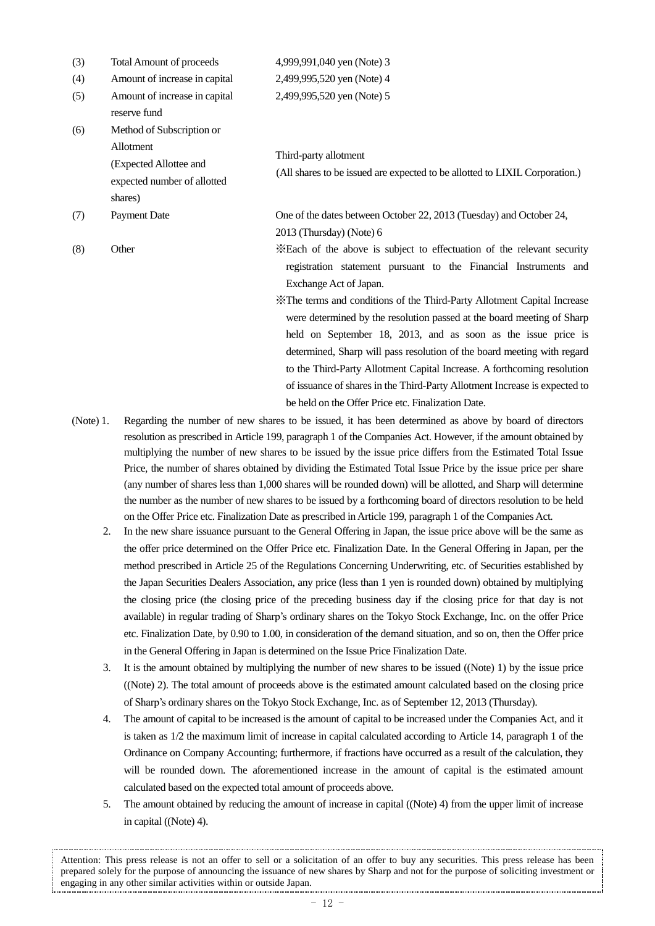| (3) | <b>Total Amount of proceeds</b>                                                                            | 4,999,991,040 yen (Note) 3                                                                                                                                                                                                                                                                                                                                                                                                                                                                                                                                                                                                      |
|-----|------------------------------------------------------------------------------------------------------------|---------------------------------------------------------------------------------------------------------------------------------------------------------------------------------------------------------------------------------------------------------------------------------------------------------------------------------------------------------------------------------------------------------------------------------------------------------------------------------------------------------------------------------------------------------------------------------------------------------------------------------|
| (4) | Amount of increase in capital                                                                              | 2,499,995,520 yen (Note) 4                                                                                                                                                                                                                                                                                                                                                                                                                                                                                                                                                                                                      |
| (5) | Amount of increase in capital<br>reserve fund                                                              | 2,499,995,520 yen (Note) 5                                                                                                                                                                                                                                                                                                                                                                                                                                                                                                                                                                                                      |
| (6) | Method of Subscription or<br>Allotment<br>(Expected Allottee and<br>expected number of allotted<br>shares) | Third-party allotment<br>(All shares to be issued are expected to be allotted to LIXIL Corporation.)                                                                                                                                                                                                                                                                                                                                                                                                                                                                                                                            |
| (7) | <b>Payment Date</b>                                                                                        | One of the dates between October 22, 2013 (Tuesday) and October 24,<br>2013 (Thursday) (Note) 6                                                                                                                                                                                                                                                                                                                                                                                                                                                                                                                                 |
| (8) | Other                                                                                                      | *Each of the above is subject to effectuation of the relevant security<br>registration statement pursuant to the Financial Instruments and<br>Exchange Act of Japan.<br>X The terms and conditions of the Third-Party Allotment Capital Increase<br>were determined by the resolution passed at the board meeting of Sharp<br>held on September 18, 2013, and as soon as the issue price is<br>determined, Sharp will pass resolution of the board meeting with regard<br>to the Third-Party Allotment Capital Increase. A forthcoming resolution<br>of issuance of shares in the Third-Party Allotment Increase is expected to |
|     |                                                                                                            | be held on the Offer Price etc. Finalization Date.                                                                                                                                                                                                                                                                                                                                                                                                                                                                                                                                                                              |

- (Note) 1. Regarding the number of new shares to be issued, it has been determined as above by board of directors resolution as prescribed in Article 199, paragraph 1 of the Companies Act. However, if the amount obtained by multiplying the number of new shares to be issued by the issue price differs from the Estimated Total Issue Price, the number of shares obtained by dividing the Estimated Total Issue Price by the issue price per share (any number of shares less than 1,000 shares will be rounded down) will be allotted, and Sharp will determine the number as the number of new shares to be issued by a forthcoming board of directors resolution to be held on the Offer Price etc. Finalization Date as prescribed in Article 199, paragraph 1 of the Companies Act.
	- 2. In the new share issuance pursuant to the General Offering in Japan, the issue price above will be the same as the offer price determined on the Offer Price etc. Finalization Date. In the General Offering in Japan, per the method prescribed in Article 25 of the Regulations Concerning Underwriting, etc. of Securities established by the Japan Securities Dealers Association, any price (less than 1 yen is rounded down) obtained by multiplying the closing price (the closing price of the preceding business day if the closing price for that day is not available) in regular trading of Sharp's ordinary shares on the Tokyo Stock Exchange, Inc. on the offer Price etc. Finalization Date, by 0.90 to 1.00, in consideration of the demand situation, and so on, then the Offer price in the General Offering in Japan is determined on the Issue Price Finalization Date.
	- 3. It is the amount obtained by multiplying the number of new shares to be issued ((Note) 1) by the issue price ((Note) 2). The total amount of proceeds above is the estimated amount calculated based on the closing price of Sharp's ordinary shares on the Tokyo Stock Exchange, Inc. as of September 12, 2013 (Thursday).
	- 4. The amount of capital to be increased is the amount of capital to be increased under the Companies Act, and it is taken as 1/2 the maximum limit of increase in capital calculated according to Article 14, paragraph 1 of the Ordinance on Company Accounting; furthermore, if fractions have occurred as a result of the calculation, they will be rounded down. The aforementioned increase in the amount of capital is the estimated amount calculated based on the expected total amount of proceeds above.
	- 5. The amount obtained by reducing the amount of increase in capital ((Note) 4) from the upper limit of increase in capital ((Note) 4).